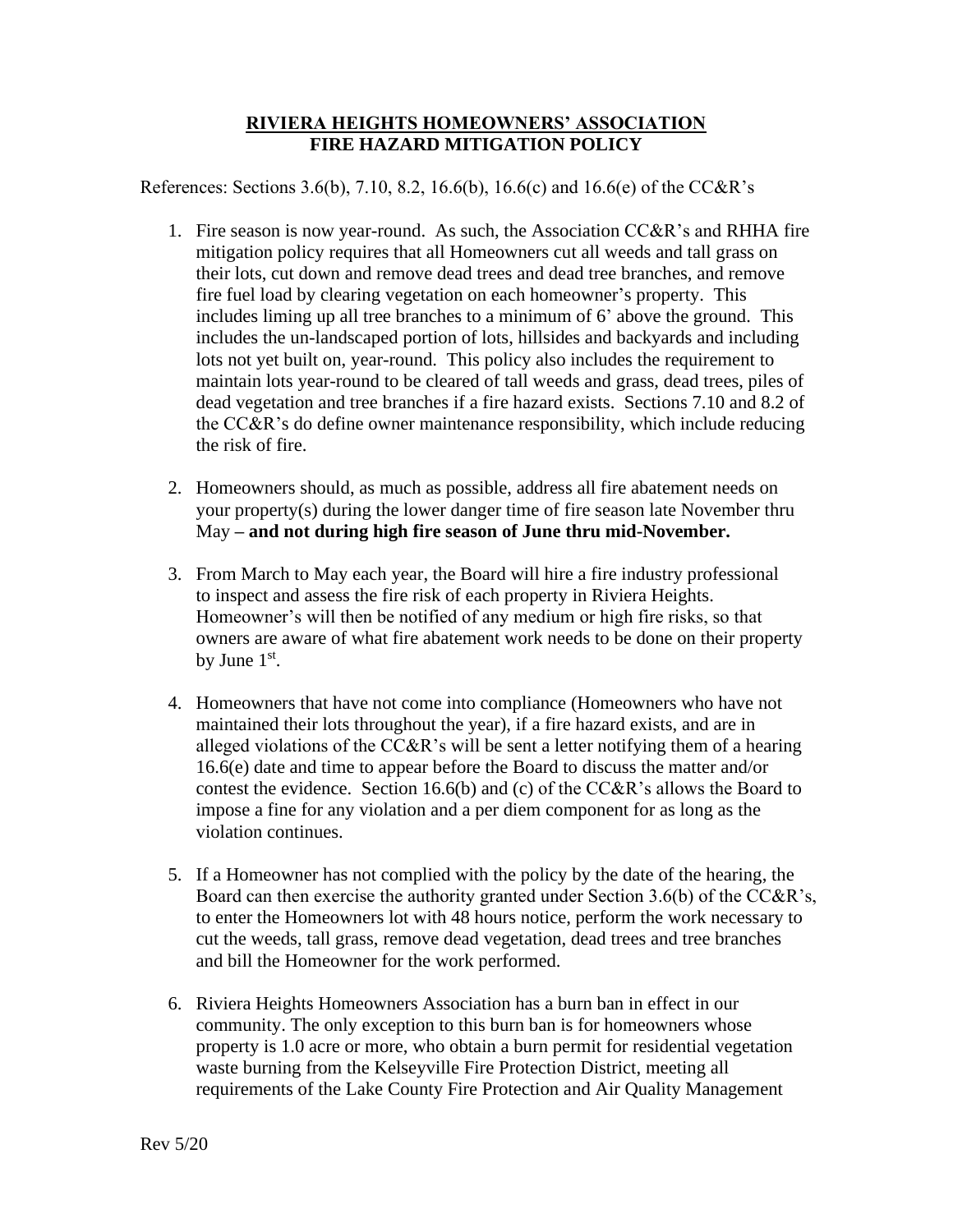## **RIVIERA HEIGHTS HOMEOWNERS' ASSOCIATION FIRE HAZARD MITIGATION POLICY**

References: Sections 3.6(b), 7.10, 8.2, 16.6(b), 16.6(c) and 16.6(e) of the CC&R's

- 1. Fire season is now year-round. As such, the Association CC&R's and RHHA fire mitigation policy requires that all Homeowners cut all weeds and tall grass on their lots, cut down and remove dead trees and dead tree branches, and remove fire fuel load by clearing vegetation on each homeowner's property. This includes liming up all tree branches to a minimum of 6' above the ground. This includes the un-landscaped portion of lots, hillsides and backyards and including lots not yet built on, year-round. This policy also includes the requirement to maintain lots year-round to be cleared of tall weeds and grass, dead trees, piles of dead vegetation and tree branches if a fire hazard exists. Sections 7.10 and 8.2 of the CC&R's do define owner maintenance responsibility, which include reducing the risk of fire.
- 2. Homeowners should, as much as possible, address all fire abatement needs on your property(s) during the lower danger time of fire season late November thru May **– and not during high fire season of June thru mid-November.**
- 3. From March to May each year, the Board will hire a fire industry professional to inspect and assess the fire risk of each property in Riviera Heights. Homeowner's will then be notified of any medium or high fire risks, so that owners are aware of what fire abatement work needs to be done on their property by June  $1<sup>st</sup>$ .
- 4. Homeowners that have not come into compliance (Homeowners who have not maintained their lots throughout the year), if a fire hazard exists, and are in alleged violations of the  $CC&R$ 's will be sent a letter notifying them of a hearing 16.6(e) date and time to appear before the Board to discuss the matter and/or contest the evidence. Section 16.6(b) and (c) of the CC&R's allows the Board to impose a fine for any violation and a per diem component for as long as the violation continues.
- 5. If a Homeowner has not complied with the policy by the date of the hearing, the Board can then exercise the authority granted under Section 3.6(b) of the CC&R's, to enter the Homeowners lot with 48 hours notice, perform the work necessary to cut the weeds, tall grass, remove dead vegetation, dead trees and tree branches and bill the Homeowner for the work performed.
- 6. Riviera Heights Homeowners Association has a burn ban in effect in our community. The only exception to this burn ban is for homeowners whose property is 1.0 acre or more, who obtain a burn permit for residential vegetation waste burning from the Kelseyville Fire Protection District, meeting all requirements of the Lake County Fire Protection and Air Quality Management